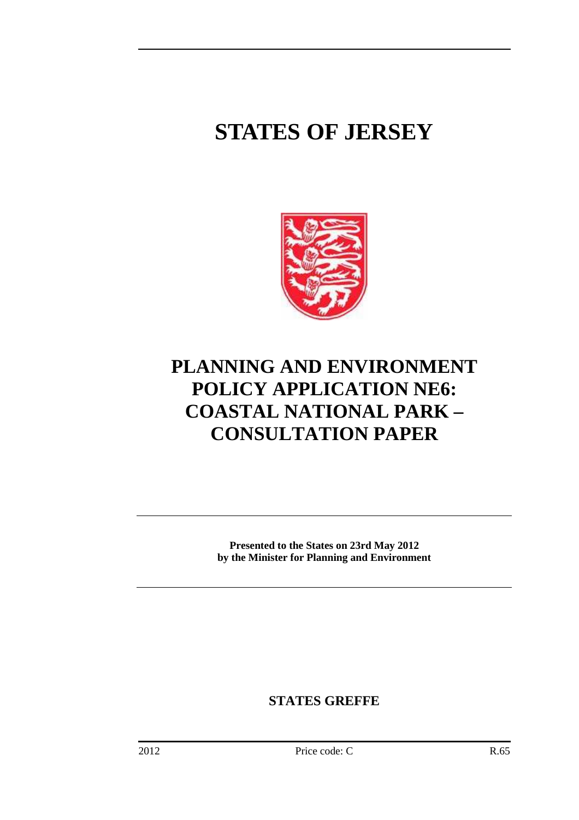# **STATES OF JERSEY**



## **PLANNING AND ENVIRONMENT POLICY APPLICATION NE6: COASTAL NATIONAL PARK – CONSULTATION PAPER**

**Presented to the States on 23rd May 2012 by the Minister for Planning and Environment** 

**STATES GREFFE**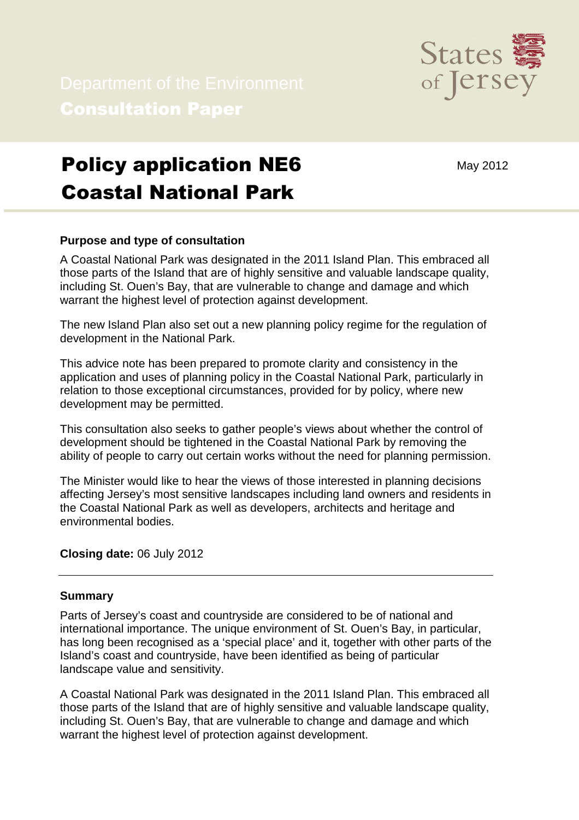

# Policy application NE6 Coastal National Park

## May 2012

### **Purpose and type of consultation**

A Coastal National Park was designated in the 2011 Island Plan. This embraced all those parts of the Island that are of highly sensitive and valuable landscape quality, including St. Ouen's Bay, that are vulnerable to change and damage and which warrant the highest level of protection against development.

The new Island Plan also set out a new planning policy regime for the regulation of development in the National Park.

This advice note has been prepared to promote clarity and consistency in the application and uses of planning policy in the Coastal National Park, particularly in relation to those exceptional circumstances, provided for by policy, where new development may be permitted.

This consultation also seeks to gather people's views about whether the control of development should be tightened in the Coastal National Park by removing the ability of people to carry out certain works without the need for planning permission.

The Minister would like to hear the views of those interested in planning decisions affecting Jersey's most sensitive landscapes including land owners and residents in the Coastal National Park as well as developers, architects and heritage and environmental bodies.

#### **Closing date:** 06 July 2012

#### **Summary**

Parts of Jersey's coast and countryside are considered to be of national and international importance. The unique environment of St. Ouen's Bay, in particular, has long been recognised as a 'special place' and it, together with other parts of the Island's coast and countryside, have been identified as being of particular landscape value and sensitivity.

A Coastal National Park was designated in the 2011 Island Plan. This embraced all those parts of the Island that are of highly sensitive and valuable landscape quality, including St. Ouen's Bay, that are vulnerable to change and damage and which warrant the highest level of protection against development.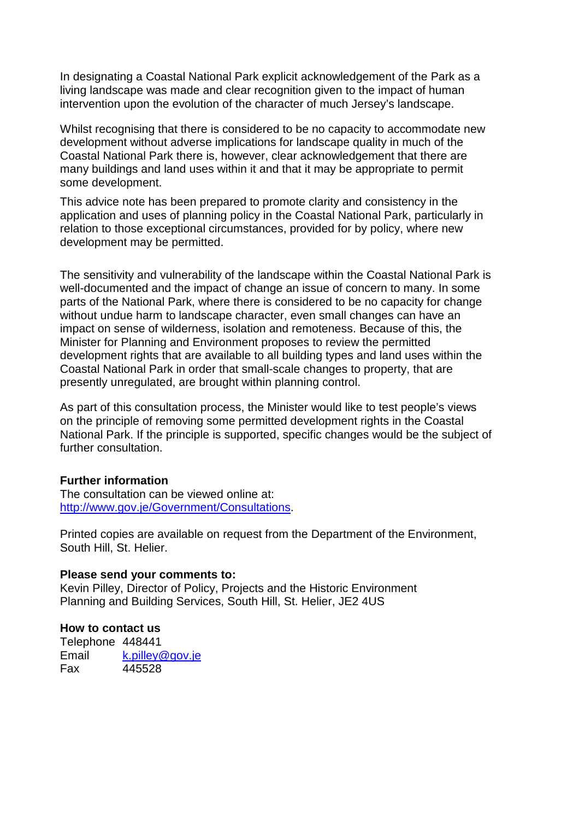In designating a Coastal National Park explicit acknowledgement of the Park as a living landscape was made and clear recognition given to the impact of human intervention upon the evolution of the character of much Jersey's landscape.

Whilst recognising that there is considered to be no capacity to accommodate new development without adverse implications for landscape quality in much of the Coastal National Park there is, however, clear acknowledgement that there are many buildings and land uses within it and that it may be appropriate to permit some development.

This advice note has been prepared to promote clarity and consistency in the application and uses of planning policy in the Coastal National Park, particularly in relation to those exceptional circumstances, provided for by policy, where new development may be permitted.

The sensitivity and vulnerability of the landscape within the Coastal National Park is well-documented and the impact of change an issue of concern to many. In some parts of the National Park, where there is considered to be no capacity for change without undue harm to landscape character, even small changes can have an impact on sense of wilderness, isolation and remoteness. Because of this, the Minister for Planning and Environment proposes to review the permitted development rights that are available to all building types and land uses within the Coastal National Park in order that small-scale changes to property, that are presently unregulated, are brought within planning control.

As part of this consultation process, the Minister would like to test people's views on the principle of removing some permitted development rights in the Coastal National Park. If the principle is supported, specific changes would be the subject of further consultation.

#### **Further information**

The consultation can be viewed online at: http://www.gov.je/Government/Consultations.

Printed copies are available on request from the Department of the Environment, South Hill, St. Helier.

#### **Please send your comments to:**

Kevin Pilley, Director of Policy, Projects and the Historic Environment Planning and Building Services, South Hill, St. Helier, JE2 4US

#### **How to contact us**

Telephone 448441 Email k.pilley@gov.je Fax 445528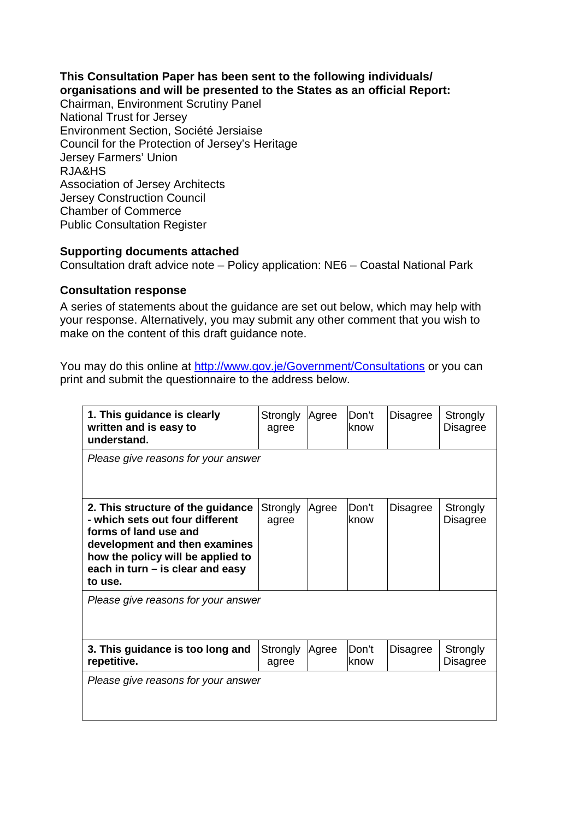### **This Consultation Paper has been sent to the following individuals/ organisations and will be presented to the States as an official Report:**

Chairman, Environment Scrutiny Panel National Trust for Jersey Environment Section, Société Jersiaise Council for the Protection of Jersey's Heritage Jersey Farmers' Union RJA&HS Association of Jersey Architects Jersey Construction Council Chamber of Commerce Public Consultation Register

### **Supporting documents attached**

Consultation draft advice note – Policy application: NE6 – Coastal National Park

### **Consultation response**

A series of statements about the guidance are set out below, which may help with your response. Alternatively, you may submit any other comment that you wish to make on the content of this draft guidance note.

You may do this online at http://www.gov.je/Government/Consultations or you can print and submit the questionnaire to the address below.

| 1. This guidance is clearly<br>written and is easy to<br>understand.                                                                                                                                               | Strongly<br>agree | Agree | Don't<br>know | <b>Disagree</b> | Strongly<br><b>Disagree</b> |
|--------------------------------------------------------------------------------------------------------------------------------------------------------------------------------------------------------------------|-------------------|-------|---------------|-----------------|-----------------------------|
| Please give reasons for your answer                                                                                                                                                                                |                   |       |               |                 |                             |
| 2. This structure of the guidance<br>- which sets out four different<br>forms of land use and<br>development and then examines<br>how the policy will be applied to<br>each in turn - is clear and easy<br>to use. | Strongly<br>agree | Agree | Don't<br>know | Disagree        | Strongly<br><b>Disagree</b> |
| Please give reasons for your answer                                                                                                                                                                                |                   |       |               |                 |                             |
| 3. This guidance is too long and<br>repetitive.                                                                                                                                                                    | Strongly<br>agree | Agree | Don't<br>know | Disagree        | Strongly<br><b>Disagree</b> |
| Please give reasons for your answer                                                                                                                                                                                |                   |       |               |                 |                             |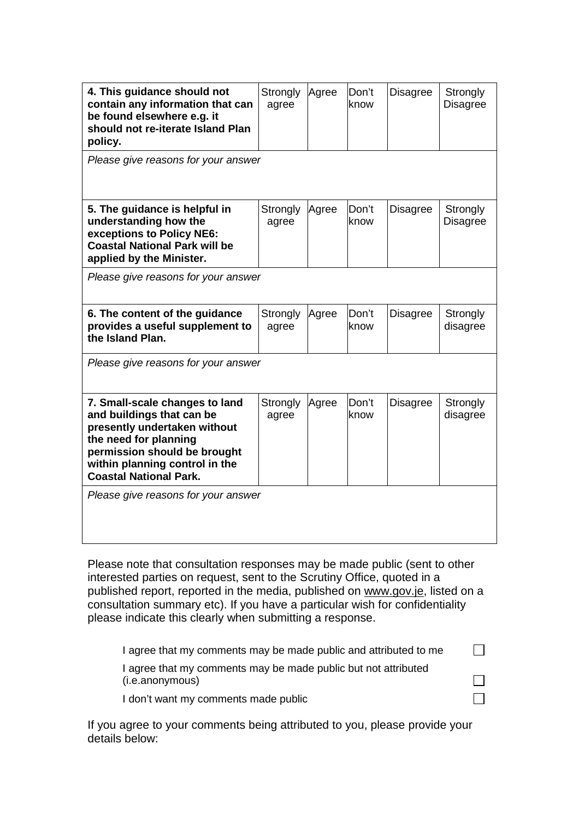| 4. This guidance should not<br>contain any information that can<br>be found elsewhere e.g. it<br>should not re-iterate Island Plan<br>policy.                                                                           | Strongly<br>agree | Agree | Don't<br>know | <b>Disagree</b> | Strongly<br><b>Disagree</b> |
|-------------------------------------------------------------------------------------------------------------------------------------------------------------------------------------------------------------------------|-------------------|-------|---------------|-----------------|-----------------------------|
| Please give reasons for your answer                                                                                                                                                                                     |                   |       |               |                 |                             |
| 5. The guidance is helpful in<br>understanding how the<br>exceptions to Policy NE6:<br><b>Coastal National Park will be</b><br>applied by the Minister.                                                                 | Strongly<br>agree | Agree | Don't<br>know | <b>Disagree</b> | Strongly<br><b>Disagree</b> |
| Please give reasons for your answer                                                                                                                                                                                     |                   |       |               |                 |                             |
| 6. The content of the guidance<br>provides a useful supplement to<br>the Island Plan.                                                                                                                                   | Strongly<br>agree | Agree | Don't<br>know | <b>Disagree</b> | Strongly<br>disagree        |
| Please give reasons for your answer                                                                                                                                                                                     |                   |       |               |                 |                             |
| 7. Small-scale changes to land<br>and buildings that can be<br>presently undertaken without<br>the need for planning<br>permission should be brought<br>within planning control in the<br><b>Coastal National Park.</b> | Strongly<br>agree | Agree | Don't<br>know | <b>Disagree</b> | Strongly<br>disagree        |
| Please give reasons for your answer                                                                                                                                                                                     |                   |       |               |                 |                             |

Please note that consultation responses may be made public (sent to other interested parties on request, sent to the Scrutiny Office, quoted in a published report, reported in the media, published on www.gov.je, listed on a consultation summary etc). If you have a particular wish for confidentiality please indicate this clearly when submitting a response.

| I agree that my comments may be made public and attributed to me                  |  |
|-----------------------------------------------------------------------------------|--|
| I agree that my comments may be made public but not attributed<br>(i.e.anonymous) |  |
| I don't want my comments made public                                              |  |

If you agree to your comments being attributed to you, please provide your details below: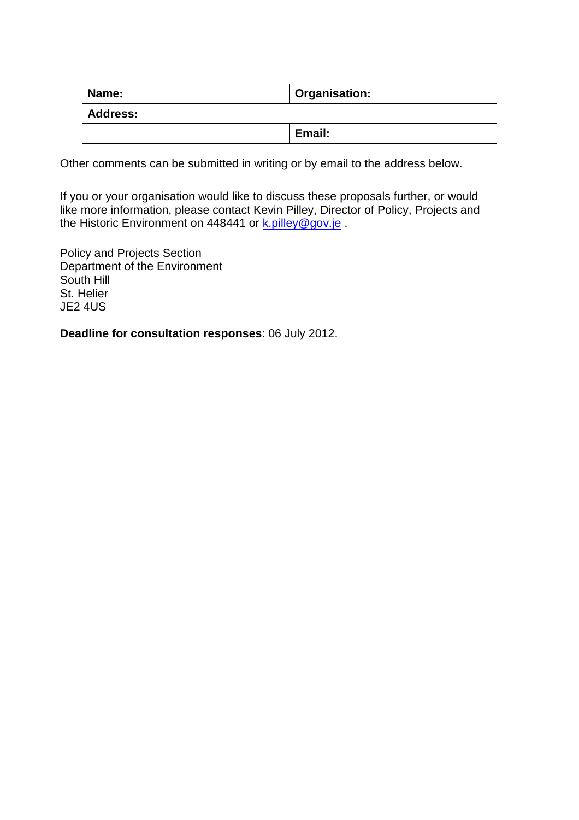| Name:           | Organisation: |
|-----------------|---------------|
| <b>Address:</b> |               |
|                 | Email:        |

Other comments can be submitted in writing or by email to the address below.

If you or your organisation would like to discuss these proposals further, or would like more information, please contact Kevin Pilley, Director of Policy, Projects and the Historic Environment on 448441 or k.pilley@gov.je

Policy and Projects Section Department of the Environment South Hill St. Helier JE2 4US

**Deadline for consultation responses**: 06 July 2012.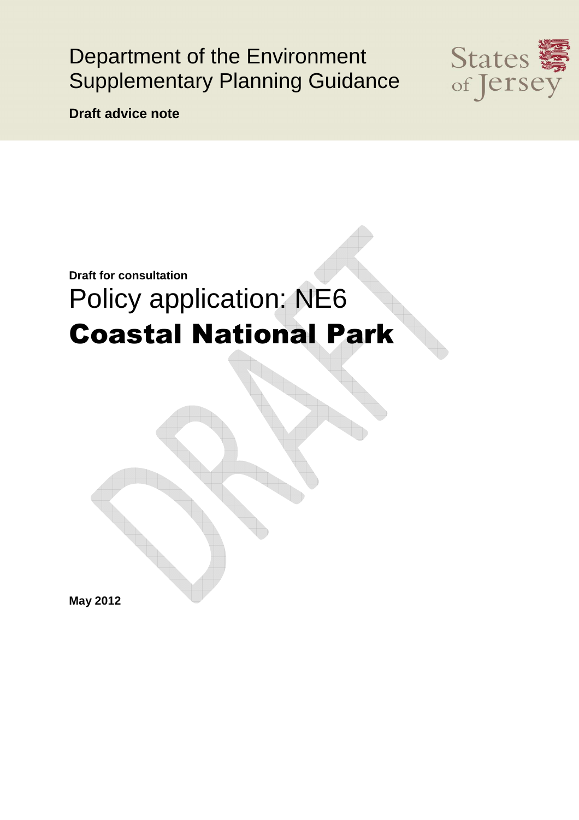## Department of the Environment Supplementary Planning Guidance



**Draft advice note** 

# **Draft for consultation** Policy application: NE6 Coastal National Park

**May 2012**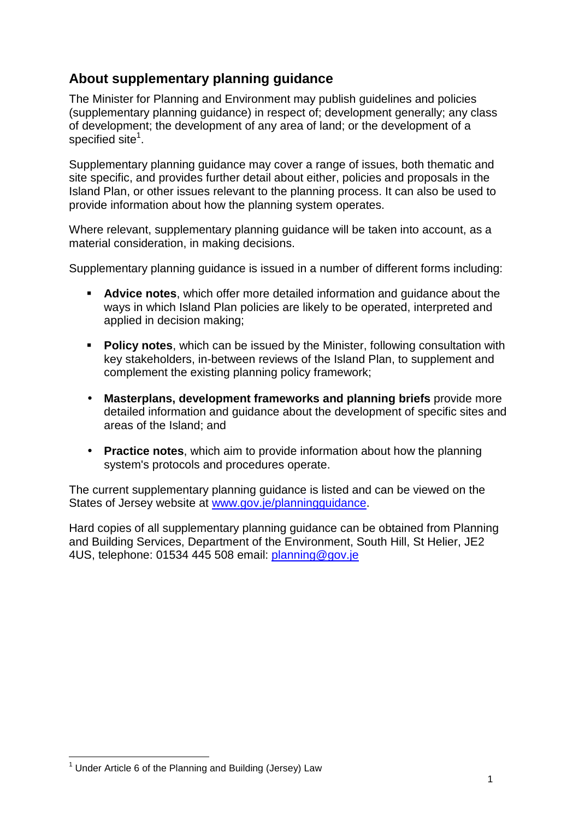### **About supplementary planning guidance**

The Minister for Planning and Environment may publish guidelines and policies (supplementary planning guidance) in respect of; development generally; any class of development; the development of any area of land; or the development of a specified site<sup>1</sup>.

Supplementary planning guidance may cover a range of issues, both thematic and site specific, and provides further detail about either, policies and proposals in the Island Plan, or other issues relevant to the planning process. It can also be used to provide information about how the planning system operates.

Where relevant, supplementary planning guidance will be taken into account, as a material consideration, in making decisions.

Supplementary planning guidance is issued in a number of different forms including:

- **Advice notes**, which offer more detailed information and guidance about the ways in which Island Plan policies are likely to be operated, interpreted and applied in decision making;
- **Policy notes**, which can be issued by the Minister, following consultation with key stakeholders, in-between reviews of the Island Plan, to supplement and complement the existing planning policy framework;
- **Masterplans, development frameworks and planning briefs** provide more detailed information and guidance about the development of specific sites and areas of the Island; and
- **Practice notes**, which aim to provide information about how the planning system's protocols and procedures operate.

The current supplementary planning guidance is listed and can be viewed on the States of Jersey website at www.gov.je/planningguidance.

Hard copies of all supplementary planning guidance can be obtained from Planning and Building Services, Department of the Environment, South Hill, St Helier, JE2 4US, telephone: 01534 445 508 email: planning@gov.je

 $\overline{a}$  $1$  Under Article 6 of the Planning and Building (Jersey) Law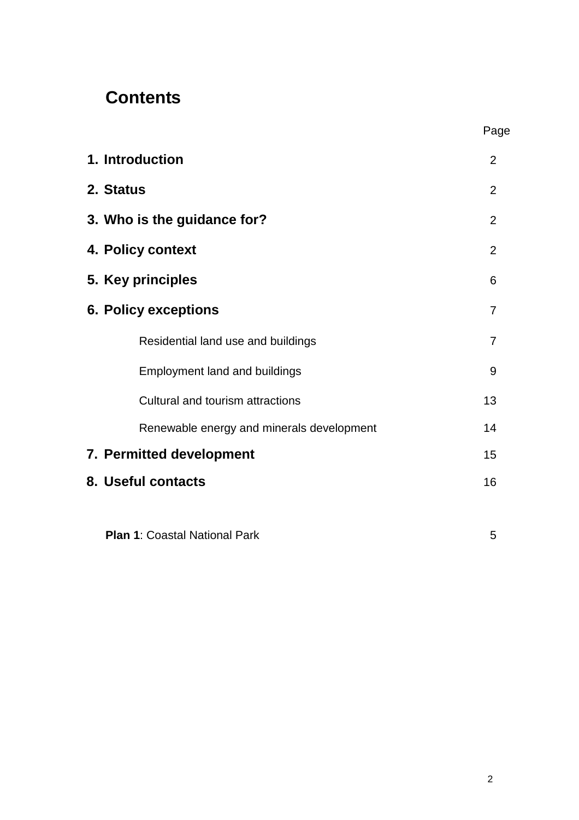## **Contents**

|                                           | Page           |
|-------------------------------------------|----------------|
| 1. Introduction                           | 2              |
| 2. Status                                 | 2              |
| 3. Who is the guidance for?               | $\overline{2}$ |
| 4. Policy context                         | $\overline{2}$ |
| 5. Key principles                         | 6              |
| <b>6. Policy exceptions</b>               | $\overline{7}$ |
| Residential land use and buildings        | $\overline{7}$ |
| <b>Employment land and buildings</b>      | 9              |
| Cultural and tourism attractions          | 13             |
| Renewable energy and minerals development | 14             |
| 7. Permitted development                  | 15             |
| 8. Useful contacts                        | 16             |

**Plan 1**: Coastal National Park 5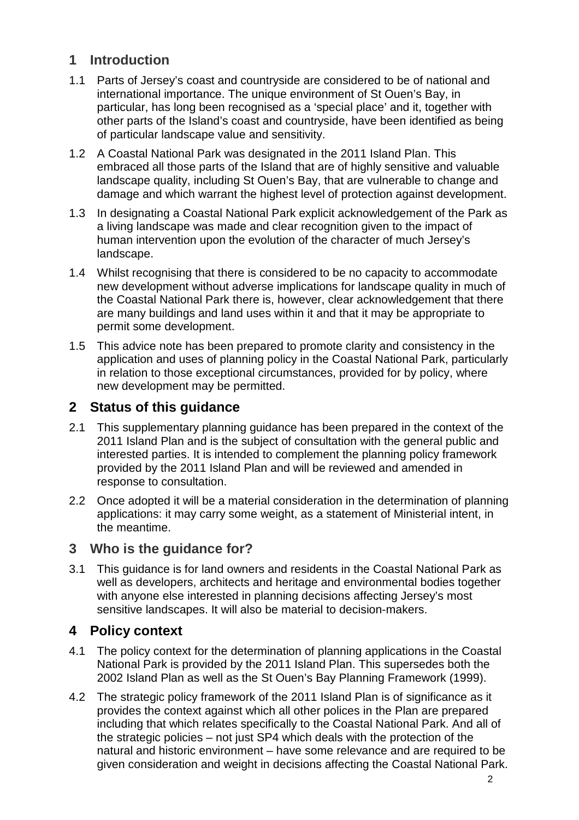### **1 Introduction**

- 1.1 Parts of Jersey's coast and countryside are considered to be of national and international importance. The unique environment of St Ouen's Bay, in particular, has long been recognised as a 'special place' and it, together with other parts of the Island's coast and countryside, have been identified as being of particular landscape value and sensitivity.
- 1.2 A Coastal National Park was designated in the 2011 Island Plan. This embraced all those parts of the Island that are of highly sensitive and valuable landscape quality, including St Ouen's Bay, that are vulnerable to change and damage and which warrant the highest level of protection against development.
- 1.3 In designating a Coastal National Park explicit acknowledgement of the Park as a living landscape was made and clear recognition given to the impact of human intervention upon the evolution of the character of much Jersey's landscape.
- 1.4 Whilst recognising that there is considered to be no capacity to accommodate new development without adverse implications for landscape quality in much of the Coastal National Park there is, however, clear acknowledgement that there are many buildings and land uses within it and that it may be appropriate to permit some development.
- 1.5 This advice note has been prepared to promote clarity and consistency in the application and uses of planning policy in the Coastal National Park, particularly in relation to those exceptional circumstances, provided for by policy, where new development may be permitted.

### **2 Status of this guidance**

- 2.1 This supplementary planning guidance has been prepared in the context of the 2011 Island Plan and is the subject of consultation with the general public and interested parties. It is intended to complement the planning policy framework provided by the 2011 Island Plan and will be reviewed and amended in response to consultation.
- 2.2 Once adopted it will be a material consideration in the determination of planning applications: it may carry some weight, as a statement of Ministerial intent, in the meantime.

### **3 Who is the guidance for?**

3.1 This guidance is for land owners and residents in the Coastal National Park as well as developers, architects and heritage and environmental bodies together with anyone else interested in planning decisions affecting Jersey's most sensitive landscapes. It will also be material to decision-makers.

### **4 Policy context**

- 4.1 The policy context for the determination of planning applications in the Coastal National Park is provided by the 2011 Island Plan. This supersedes both the 2002 Island Plan as well as the St Ouen's Bay Planning Framework (1999).
- 4.2 The strategic policy framework of the 2011 Island Plan is of significance as it provides the context against which all other polices in the Plan are prepared including that which relates specifically to the Coastal National Park. And all of the strategic policies – not just SP4 which deals with the protection of the natural and historic environment – have some relevance and are required to be given consideration and weight in decisions affecting the Coastal National Park.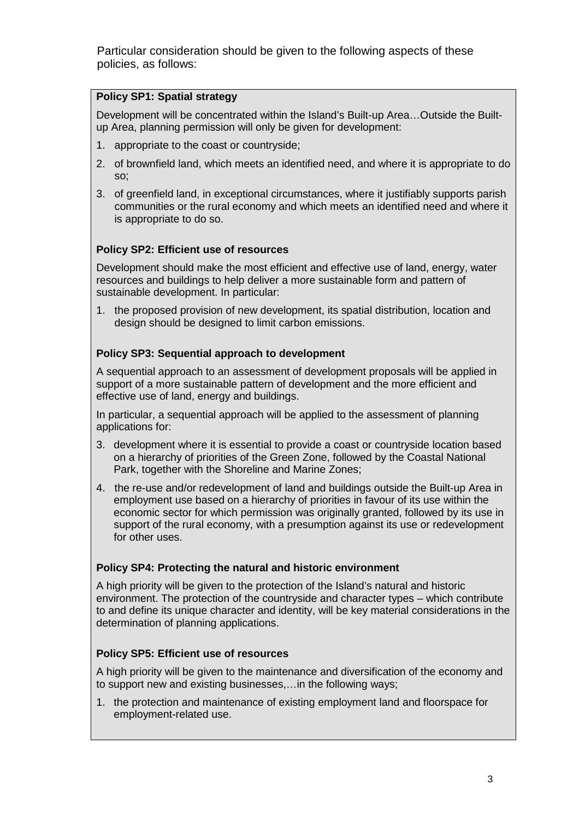Particular consideration should be given to the following aspects of these policies, as follows:

### **Policy SP1: Spatial strategy**

Development will be concentrated within the Island's Built-up Area…Outside the Builtup Area, planning permission will only be given for development:

- 1. appropriate to the coast or countryside;
- 2. of brownfield land, which meets an identified need, and where it is appropriate to do so;
- 3. of greenfield land, in exceptional circumstances, where it justifiably supports parish communities or the rural economy and which meets an identified need and where it is appropriate to do so.

### **Policy SP2: Efficient use of resources**

Development should make the most efficient and effective use of land, energy, water resources and buildings to help deliver a more sustainable form and pattern of sustainable development. In particular:

1. the proposed provision of new development, its spatial distribution, location and design should be designed to limit carbon emissions.

#### **Policy SP3: Sequential approach to development**

A sequential approach to an assessment of development proposals will be applied in support of a more sustainable pattern of development and the more efficient and effective use of land, energy and buildings.

In particular, a sequential approach will be applied to the assessment of planning applications for:

- 3. development where it is essential to provide a coast or countryside location based on a hierarchy of priorities of the Green Zone, followed by the Coastal National Park, together with the Shoreline and Marine Zones;
- 4. the re-use and/or redevelopment of land and buildings outside the Built-up Area in employment use based on a hierarchy of priorities in favour of its use within the economic sector for which permission was originally granted, followed by its use in support of the rural economy, with a presumption against its use or redevelopment for other uses.

#### **Policy SP4: Protecting the natural and historic environment**

A high priority will be given to the protection of the Island's natural and historic environment. The protection of the countryside and character types – which contribute to and define its unique character and identity, will be key material considerations in the determination of planning applications.

#### **Policy SP5: Efficient use of resources**

A high priority will be given to the maintenance and diversification of the economy and to support new and existing businesses,…in the following ways;

1. the protection and maintenance of existing employment land and floorspace for employment-related use.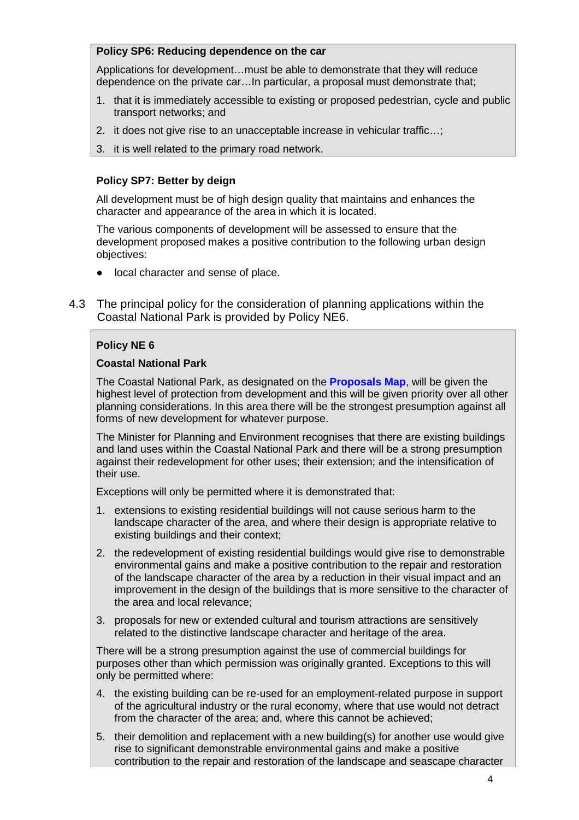#### **Policy SP6: Reducing dependence on the car**

Applications for development…must be able to demonstrate that they will reduce dependence on the private car…In particular, a proposal must demonstrate that;

- 1. that it is immediately accessible to existing or proposed pedestrian, cycle and public transport networks; and
- 2. it does not give rise to an unacceptable increase in vehicular traffic…;
- 3. it is well related to the primary road network.

#### **Policy SP7: Better by deign**

All development must be of high design quality that maintains and enhances the character and appearance of the area in which it is located.

The various components of development will be assessed to ensure that the development proposed makes a positive contribution to the following urban design objectives:

- local character and sense of place.
- 4.3 The principal policy for the consideration of planning applications within the Coastal National Park is provided by Policy NE6.

#### **Policy NE 6**

#### **Coastal National Park**

The Coastal National Park, as designated on the **Proposals Map**, will be given the highest level of protection from development and this will be given priority over all other planning considerations. In this area there will be the strongest presumption against all forms of new development for whatever purpose.

The Minister for Planning and Environment recognises that there are existing buildings and land uses within the Coastal National Park and there will be a strong presumption against their redevelopment for other uses; their extension; and the intensification of their use.

Exceptions will only be permitted where it is demonstrated that:

- 1. extensions to existing residential buildings will not cause serious harm to the landscape character of the area, and where their design is appropriate relative to existing buildings and their context;
- 2. the redevelopment of existing residential buildings would give rise to demonstrable environmental gains and make a positive contribution to the repair and restoration of the landscape character of the area by a reduction in their visual impact and an improvement in the design of the buildings that is more sensitive to the character of the area and local relevance;
- 3. proposals for new or extended cultural and tourism attractions are sensitively related to the distinctive landscape character and heritage of the area.

There will be a strong presumption against the use of commercial buildings for purposes other than which permission was originally granted. Exceptions to this will only be permitted where:

- 4. the existing building can be re-used for an employment-related purpose in support of the agricultural industry or the rural economy, where that use would not detract from the character of the area; and, where this cannot be achieved;
- 5. their demolition and replacement with a new building(s) for another use would give rise to significant demonstrable environmental gains and make a positive contribution to the repair and restoration of the landscape and seascape character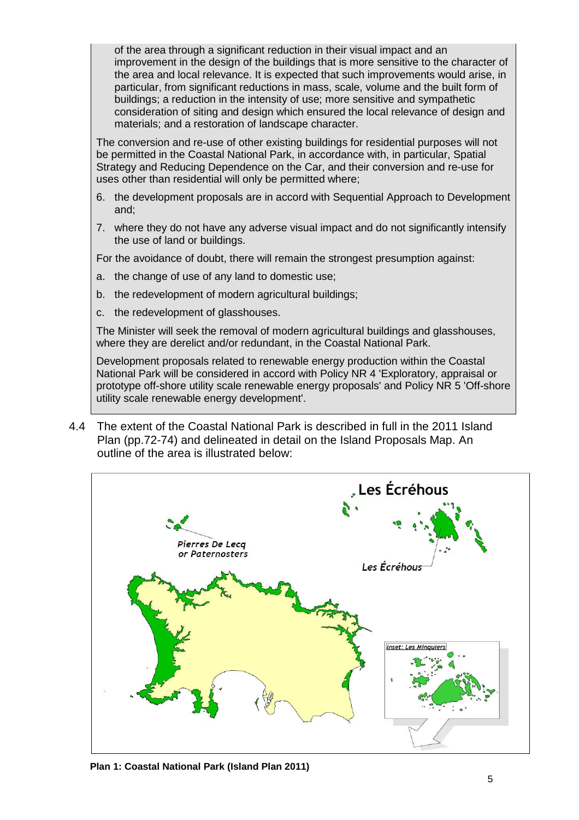of the area through a significant reduction in their visual impact and an improvement in the design of the buildings that is more sensitive to the character of the area and local relevance. It is expected that such improvements would arise, in particular, from significant reductions in mass, scale, volume and the built form of buildings; a reduction in the intensity of use; more sensitive and sympathetic consideration of siting and design which ensured the local relevance of design and materials; and a restoration of landscape character.

The conversion and re-use of other existing buildings for residential purposes will not be permitted in the Coastal National Park, in accordance with, in particular, Spatial Strategy and Reducing Dependence on the Car, and their conversion and re-use for uses other than residential will only be permitted where;

- 6. the development proposals are in accord with Sequential Approach to Development and;
- 7. where they do not have any adverse visual impact and do not significantly intensify the use of land or buildings.

For the avoidance of doubt, there will remain the strongest presumption against:

- a. the change of use of any land to domestic use;
- b. the redevelopment of modern agricultural buildings;
- c. the redevelopment of glasshouses.

The Minister will seek the removal of modern agricultural buildings and glasshouses, where they are derelict and/or redundant, in the Coastal National Park.

Development proposals related to renewable energy production within the Coastal National Park will be considered in accord with Policy NR 4 'Exploratory, appraisal or prototype off-shore utility scale renewable energy proposals' and Policy NR 5 'Off-shore utility scale renewable energy development'.

4.4 The extent of the Coastal National Park is described in full in the 2011 Island Plan (pp.72-74) and delineated in detail on the Island Proposals Map. An outline of the area is illustrated below:



**Plan 1: Coastal National Park (Island Plan 2011)**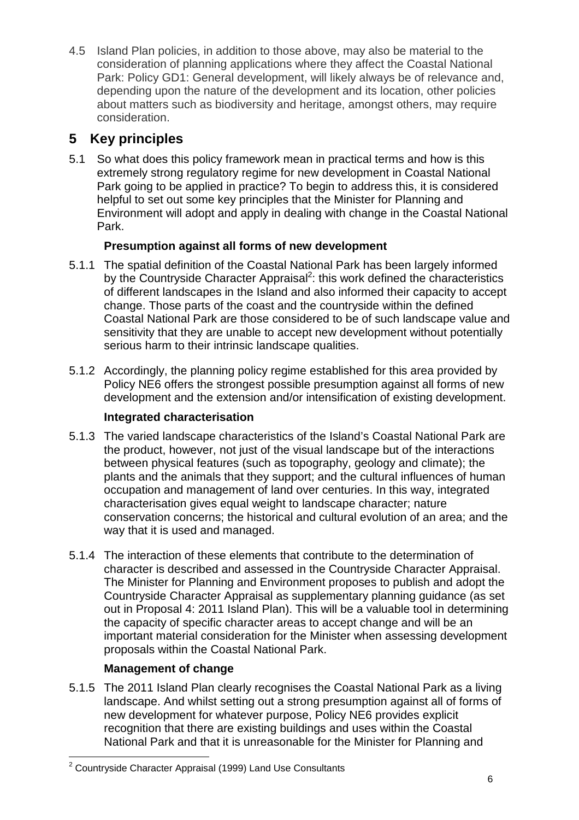4.5 Island Plan policies, in addition to those above, may also be material to the consideration of planning applications where they affect the Coastal National Park: Policy GD1: General development, will likely always be of relevance and, depending upon the nature of the development and its location, other policies about matters such as biodiversity and heritage, amongst others, may require consideration.

### **5 Key principles**

5.1 So what does this policy framework mean in practical terms and how is this extremely strong regulatory regime for new development in Coastal National Park going to be applied in practice? To begin to address this, it is considered helpful to set out some key principles that the Minister for Planning and Environment will adopt and apply in dealing with change in the Coastal National Park.

### **Presumption against all forms of new development**

- 5.1.1 The spatial definition of the Coastal National Park has been largely informed by the Countryside Character Appraisal<sup>2</sup>: this work defined the characteristics of different landscapes in the Island and also informed their capacity to accept change. Those parts of the coast and the countryside within the defined Coastal National Park are those considered to be of such landscape value and sensitivity that they are unable to accept new development without potentially serious harm to their intrinsic landscape qualities.
- 5.1.2 Accordingly, the planning policy regime established for this area provided by Policy NE6 offers the strongest possible presumption against all forms of new development and the extension and/or intensification of existing development.

### **Integrated characterisation**

- 5.1.3 The varied landscape characteristics of the Island's Coastal National Park are the product, however, not just of the visual landscape but of the interactions between physical features (such as topography, geology and climate); the plants and the animals that they support; and the cultural influences of human occupation and management of land over centuries. In this way, integrated characterisation gives equal weight to landscape character; nature conservation concerns; the historical and cultural evolution of an area; and the way that it is used and managed.
- 5.1.4 The interaction of these elements that contribute to the determination of character is described and assessed in the Countryside Character Appraisal. The Minister for Planning and Environment proposes to publish and adopt the Countryside Character Appraisal as supplementary planning guidance (as set out in Proposal 4: 2011 Island Plan). This will be a valuable tool in determining the capacity of specific character areas to accept change and will be an important material consideration for the Minister when assessing development proposals within the Coastal National Park.

### **Management of change**

5.1.5 The 2011 Island Plan clearly recognises the Coastal National Park as a living landscape. And whilst setting out a strong presumption against all of forms of new development for whatever purpose, Policy NE6 provides explicit recognition that there are existing buildings and uses within the Coastal National Park and that it is unreasonable for the Minister for Planning and

 2 Countryside Character Appraisal (1999) Land Use Consultants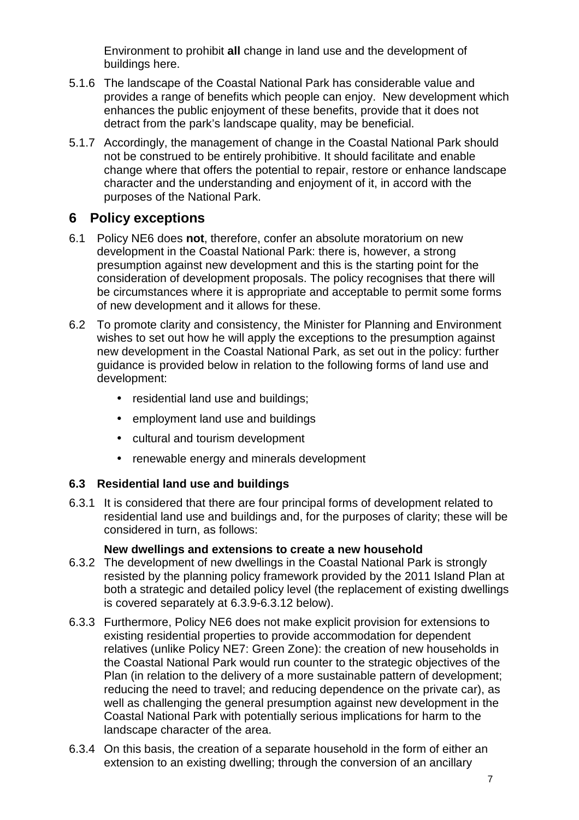Environment to prohibit **all** change in land use and the development of buildings here.

- 5.1.6 The landscape of the Coastal National Park has considerable value and provides a range of benefits which people can enjoy. New development which enhances the public enjoyment of these benefits, provide that it does not detract from the park's landscape quality, may be beneficial.
- 5.1.7 Accordingly, the management of change in the Coastal National Park should not be construed to be entirely prohibitive. It should facilitate and enable change where that offers the potential to repair, restore or enhance landscape character and the understanding and enjoyment of it, in accord with the purposes of the National Park.

### **6 Policy exceptions**

- 6.1 Policy NE6 does **not**, therefore, confer an absolute moratorium on new development in the Coastal National Park: there is, however, a strong presumption against new development and this is the starting point for the consideration of development proposals. The policy recognises that there will be circumstances where it is appropriate and acceptable to permit some forms of new development and it allows for these.
- 6.2 To promote clarity and consistency, the Minister for Planning and Environment wishes to set out how he will apply the exceptions to the presumption against new development in the Coastal National Park, as set out in the policy: further guidance is provided below in relation to the following forms of land use and development:
	- residential land use and buildings;
	- employment land use and buildings
	- cultural and tourism development
	- renewable energy and minerals development

### **6.3 Residential land use and buildings**

6.3.1 It is considered that there are four principal forms of development related to residential land use and buildings and, for the purposes of clarity; these will be considered in turn, as follows:

### **New dwellings and extensions to create a new household**

- 6.3.2 The development of new dwellings in the Coastal National Park is strongly resisted by the planning policy framework provided by the 2011 Island Plan at both a strategic and detailed policy level (the replacement of existing dwellings is covered separately at 6.3.9-6.3.12 below).
- 6.3.3 Furthermore, Policy NE6 does not make explicit provision for extensions to existing residential properties to provide accommodation for dependent relatives (unlike Policy NE7: Green Zone): the creation of new households in the Coastal National Park would run counter to the strategic objectives of the Plan (in relation to the delivery of a more sustainable pattern of development; reducing the need to travel; and reducing dependence on the private car), as well as challenging the general presumption against new development in the Coastal National Park with potentially serious implications for harm to the landscape character of the area.
- 6.3.4 On this basis, the creation of a separate household in the form of either an extension to an existing dwelling; through the conversion of an ancillary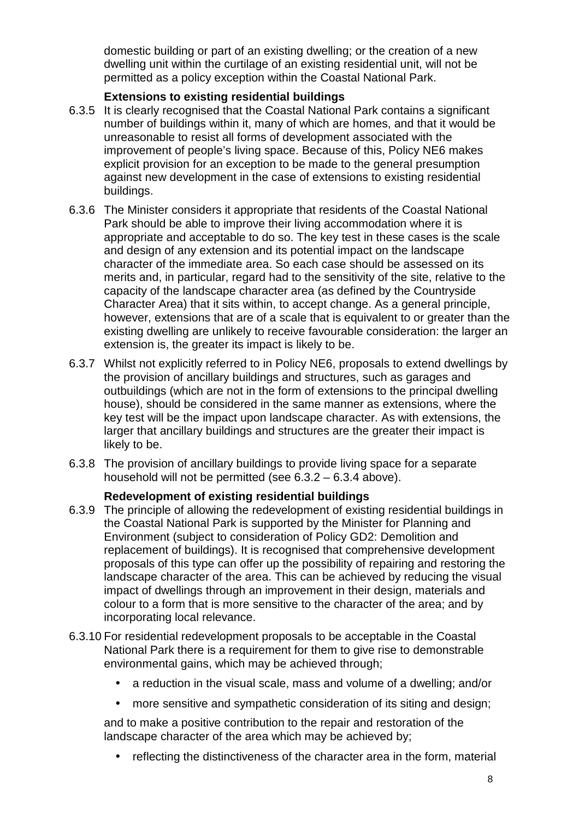domestic building or part of an existing dwelling; or the creation of a new dwelling unit within the curtilage of an existing residential unit, will not be permitted as a policy exception within the Coastal National Park.

### **Extensions to existing residential buildings**

- 6.3.5 It is clearly recognised that the Coastal National Park contains a significant number of buildings within it, many of which are homes, and that it would be unreasonable to resist all forms of development associated with the improvement of people's living space. Because of this, Policy NE6 makes explicit provision for an exception to be made to the general presumption against new development in the case of extensions to existing residential buildings.
- 6.3.6 The Minister considers it appropriate that residents of the Coastal National Park should be able to improve their living accommodation where it is appropriate and acceptable to do so. The key test in these cases is the scale and design of any extension and its potential impact on the landscape character of the immediate area. So each case should be assessed on its merits and, in particular, regard had to the sensitivity of the site, relative to the capacity of the landscape character area (as defined by the Countryside Character Area) that it sits within, to accept change. As a general principle, however, extensions that are of a scale that is equivalent to or greater than the existing dwelling are unlikely to receive favourable consideration: the larger an extension is, the greater its impact is likely to be.
- 6.3.7 Whilst not explicitly referred to in Policy NE6, proposals to extend dwellings by the provision of ancillary buildings and structures, such as garages and outbuildings (which are not in the form of extensions to the principal dwelling house), should be considered in the same manner as extensions, where the key test will be the impact upon landscape character. As with extensions, the larger that ancillary buildings and structures are the greater their impact is likely to be.
- 6.3.8 The provision of ancillary buildings to provide living space for a separate household will not be permitted (see 6.3.2 – 6.3.4 above).

### **Redevelopment of existing residential buildings**

- 6.3.9 The principle of allowing the redevelopment of existing residential buildings in the Coastal National Park is supported by the Minister for Planning and Environment (subject to consideration of Policy GD2: Demolition and replacement of buildings). It is recognised that comprehensive development proposals of this type can offer up the possibility of repairing and restoring the landscape character of the area. This can be achieved by reducing the visual impact of dwellings through an improvement in their design, materials and colour to a form that is more sensitive to the character of the area; and by incorporating local relevance.
- 6.3.10 For residential redevelopment proposals to be acceptable in the Coastal National Park there is a requirement for them to give rise to demonstrable environmental gains, which may be achieved through;
	- a reduction in the visual scale, mass and volume of a dwelling; and/or
	- more sensitive and sympathetic consideration of its siting and design;

and to make a positive contribution to the repair and restoration of the landscape character of the area which may be achieved by;

• reflecting the distinctiveness of the character area in the form, material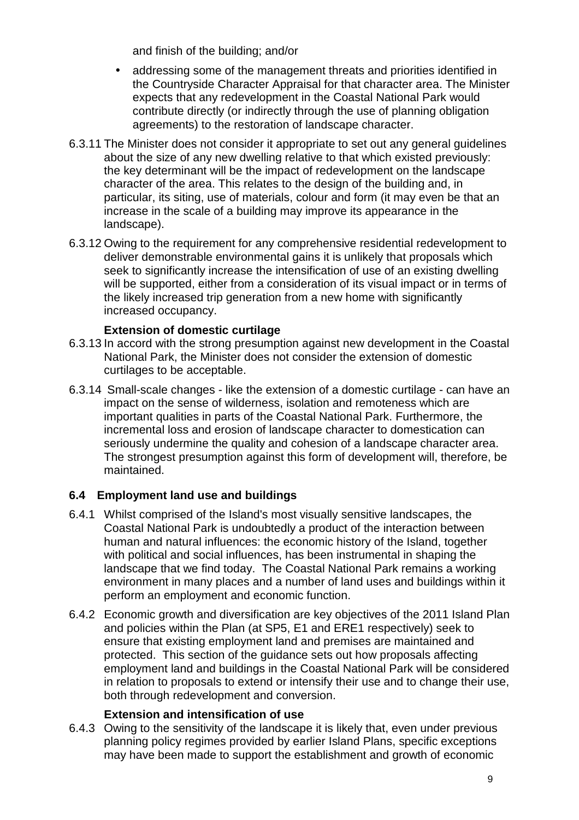and finish of the building; and/or

- addressing some of the management threats and priorities identified in the Countryside Character Appraisal for that character area. The Minister expects that any redevelopment in the Coastal National Park would contribute directly (or indirectly through the use of planning obligation agreements) to the restoration of landscape character.
- 6.3.11 The Minister does not consider it appropriate to set out any general guidelines about the size of any new dwelling relative to that which existed previously: the key determinant will be the impact of redevelopment on the landscape character of the area. This relates to the design of the building and, in particular, its siting, use of materials, colour and form (it may even be that an increase in the scale of a building may improve its appearance in the landscape).
- 6.3.12 Owing to the requirement for any comprehensive residential redevelopment to deliver demonstrable environmental gains it is unlikely that proposals which seek to significantly increase the intensification of use of an existing dwelling will be supported, either from a consideration of its visual impact or in terms of the likely increased trip generation from a new home with significantly increased occupancy.

### **Extension of domestic curtilage**

- 6.3.13 In accord with the strong presumption against new development in the Coastal National Park, the Minister does not consider the extension of domestic curtilages to be acceptable.
- 6.3.14 Small-scale changes like the extension of a domestic curtilage can have an impact on the sense of wilderness, isolation and remoteness which are important qualities in parts of the Coastal National Park. Furthermore, the incremental loss and erosion of landscape character to domestication can seriously undermine the quality and cohesion of a landscape character area. The strongest presumption against this form of development will, therefore, be maintained.

### **6.4 Employment land use and buildings**

- 6.4.1 Whilst comprised of the Island's most visually sensitive landscapes, the Coastal National Park is undoubtedly a product of the interaction between human and natural influences: the economic history of the Island, together with political and social influences, has been instrumental in shaping the landscape that we find today. The Coastal National Park remains a working environment in many places and a number of land uses and buildings within it perform an employment and economic function.
- 6.4.2 Economic growth and diversification are key objectives of the 2011 Island Plan and policies within the Plan (at SP5, E1 and ERE1 respectively) seek to ensure that existing employment land and premises are maintained and protected. This section of the guidance sets out how proposals affecting employment land and buildings in the Coastal National Park will be considered in relation to proposals to extend or intensify their use and to change their use, both through redevelopment and conversion.

### **Extension and intensification of use**

6.4.3 Owing to the sensitivity of the landscape it is likely that, even under previous planning policy regimes provided by earlier Island Plans, specific exceptions may have been made to support the establishment and growth of economic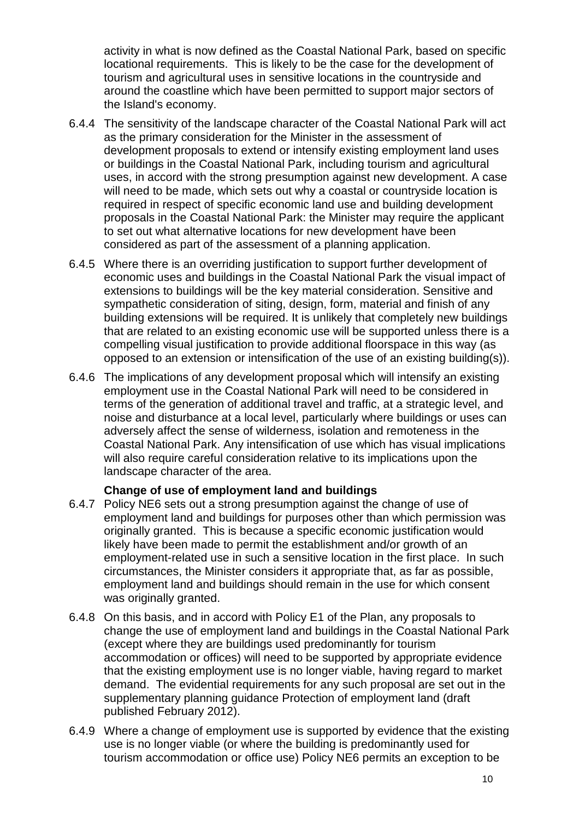activity in what is now defined as the Coastal National Park, based on specific locational requirements. This is likely to be the case for the development of tourism and agricultural uses in sensitive locations in the countryside and around the coastline which have been permitted to support major sectors of the Island's economy.

- 6.4.4 The sensitivity of the landscape character of the Coastal National Park will act as the primary consideration for the Minister in the assessment of development proposals to extend or intensify existing employment land uses or buildings in the Coastal National Park, including tourism and agricultural uses, in accord with the strong presumption against new development. A case will need to be made, which sets out why a coastal or countryside location is required in respect of specific economic land use and building development proposals in the Coastal National Park: the Minister may require the applicant to set out what alternative locations for new development have been considered as part of the assessment of a planning application.
- 6.4.5 Where there is an overriding justification to support further development of economic uses and buildings in the Coastal National Park the visual impact of extensions to buildings will be the key material consideration. Sensitive and sympathetic consideration of siting, design, form, material and finish of any building extensions will be required. It is unlikely that completely new buildings that are related to an existing economic use will be supported unless there is a compelling visual justification to provide additional floorspace in this way (as opposed to an extension or intensification of the use of an existing building(s)).
- 6.4.6 The implications of any development proposal which will intensify an existing employment use in the Coastal National Park will need to be considered in terms of the generation of additional travel and traffic, at a strategic level, and noise and disturbance at a local level, particularly where buildings or uses can adversely affect the sense of wilderness, isolation and remoteness in the Coastal National Park. Any intensification of use which has visual implications will also require careful consideration relative to its implications upon the landscape character of the area.

### **Change of use of employment land and buildings**

- 6.4.7 Policy NE6 sets out a strong presumption against the change of use of employment land and buildings for purposes other than which permission was originally granted. This is because a specific economic justification would likely have been made to permit the establishment and/or growth of an employment-related use in such a sensitive location in the first place. In such circumstances, the Minister considers it appropriate that, as far as possible, employment land and buildings should remain in the use for which consent was originally granted.
- 6.4.8 On this basis, and in accord with Policy E1 of the Plan, any proposals to change the use of employment land and buildings in the Coastal National Park (except where they are buildings used predominantly for tourism accommodation or offices) will need to be supported by appropriate evidence that the existing employment use is no longer viable, having regard to market demand. The evidential requirements for any such proposal are set out in the supplementary planning guidance Protection of employment land (draft published February 2012).
- 6.4.9 Where a change of employment use is supported by evidence that the existing use is no longer viable (or where the building is predominantly used for tourism accommodation or office use) Policy NE6 permits an exception to be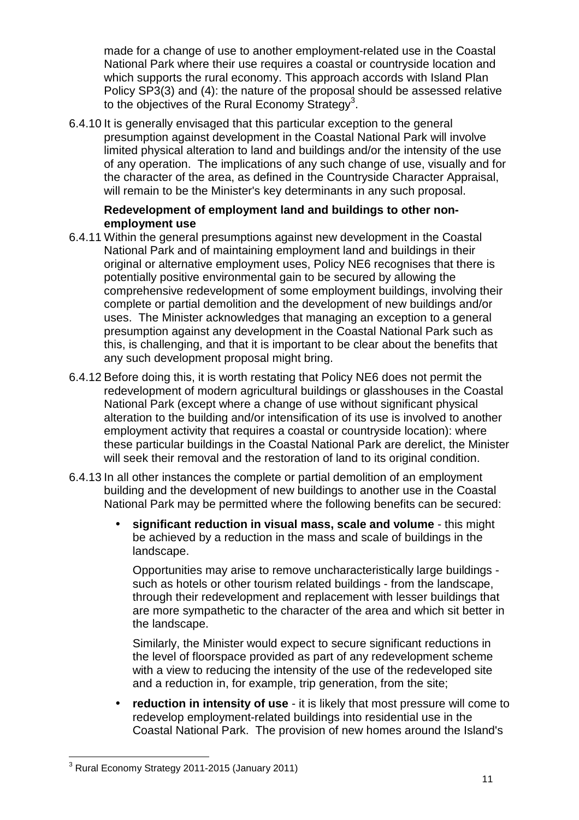made for a change of use to another employment-related use in the Coastal National Park where their use requires a coastal or countryside location and which supports the rural economy. This approach accords with Island Plan Policy SP3(3) and (4): the nature of the proposal should be assessed relative to the objectives of the Rural Economy Strategy<sup>3</sup>.

6.4.10 It is generally envisaged that this particular exception to the general presumption against development in the Coastal National Park will involve limited physical alteration to land and buildings and/or the intensity of the use of any operation. The implications of any such change of use, visually and for the character of the area, as defined in the Countryside Character Appraisal, will remain to be the Minister's key determinants in any such proposal.

### **Redevelopment of employment land and buildings to other nonemployment use**

- 6.4.11 Within the general presumptions against new development in the Coastal National Park and of maintaining employment land and buildings in their original or alternative employment uses, Policy NE6 recognises that there is potentially positive environmental gain to be secured by allowing the comprehensive redevelopment of some employment buildings, involving their complete or partial demolition and the development of new buildings and/or uses. The Minister acknowledges that managing an exception to a general presumption against any development in the Coastal National Park such as this, is challenging, and that it is important to be clear about the benefits that any such development proposal might bring.
- 6.4.12 Before doing this, it is worth restating that Policy NE6 does not permit the redevelopment of modern agricultural buildings or glasshouses in the Coastal National Park (except where a change of use without significant physical alteration to the building and/or intensification of its use is involved to another employment activity that requires a coastal or countryside location): where these particular buildings in the Coastal National Park are derelict, the Minister will seek their removal and the restoration of land to its original condition.
- 6.4.13 In all other instances the complete or partial demolition of an employment building and the development of new buildings to another use in the Coastal National Park may be permitted where the following benefits can be secured:
	- **significant reduction in visual mass, scale and volume** this might be achieved by a reduction in the mass and scale of buildings in the landscape.

Opportunities may arise to remove uncharacteristically large buildings such as hotels or other tourism related buildings - from the landscape, through their redevelopment and replacement with lesser buildings that are more sympathetic to the character of the area and which sit better in the landscape.

Similarly, the Minister would expect to secure significant reductions in the level of floorspace provided as part of any redevelopment scheme with a view to reducing the intensity of the use of the redeveloped site and a reduction in, for example, trip generation, from the site;

• **reduction in intensity of use** - it is likely that most pressure will come to redevelop employment-related buildings into residential use in the Coastal National Park. The provision of new homes around the Island's

 3 Rural Economy Strategy 2011-2015 (January 2011)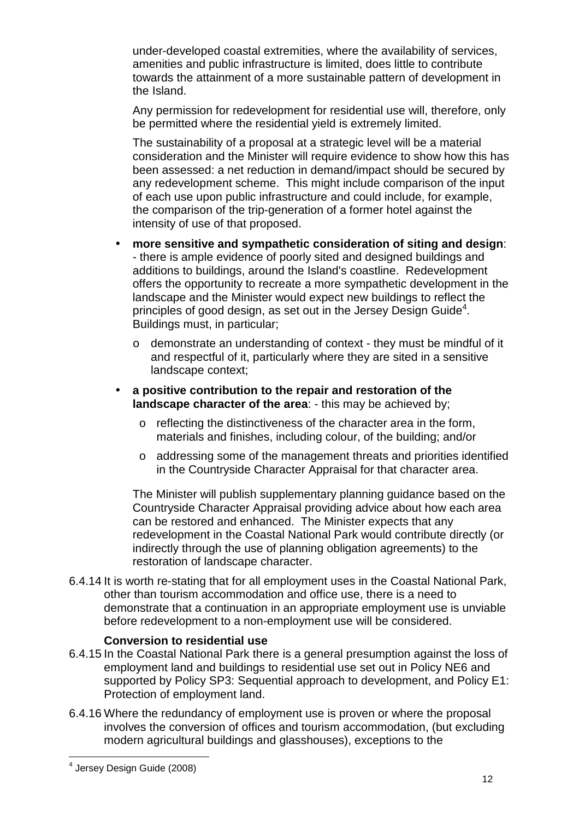under-developed coastal extremities, where the availability of services, amenities and public infrastructure is limited, does little to contribute towards the attainment of a more sustainable pattern of development in the Island.

Any permission for redevelopment for residential use will, therefore, only be permitted where the residential yield is extremely limited.

 The sustainability of a proposal at a strategic level will be a material consideration and the Minister will require evidence to show how this has been assessed: a net reduction in demand/impact should be secured by any redevelopment scheme. This might include comparison of the input of each use upon public infrastructure and could include, for example, the comparison of the trip-generation of a former hotel against the intensity of use of that proposed.

- **more sensitive and sympathetic consideration of siting and design**: - there is ample evidence of poorly sited and designed buildings and additions to buildings, around the Island's coastline. Redevelopment offers the opportunity to recreate a more sympathetic development in the landscape and the Minister would expect new buildings to reflect the principles of good design, as set out in the Jersey Design Guide<sup>4</sup>. Buildings must, in particular;
	- o demonstrate an understanding of context they must be mindful of it and respectful of it, particularly where they are sited in a sensitive landscape context;
- **a positive contribution to the repair and restoration of the landscape character of the area**: - this may be achieved by;
	- o reflecting the distinctiveness of the character area in the form, materials and finishes, including colour, of the building; and/or
	- o addressing some of the management threats and priorities identified in the Countryside Character Appraisal for that character area.

The Minister will publish supplementary planning guidance based on the Countryside Character Appraisal providing advice about how each area can be restored and enhanced. The Minister expects that any redevelopment in the Coastal National Park would contribute directly (or indirectly through the use of planning obligation agreements) to the restoration of landscape character.

6.4.14 It is worth re-stating that for all employment uses in the Coastal National Park, other than tourism accommodation and office use, there is a need to demonstrate that a continuation in an appropriate employment use is unviable before redevelopment to a non-employment use will be considered.

### **Conversion to residential use**

- 6.4.15 In the Coastal National Park there is a general presumption against the loss of employment land and buildings to residential use set out in Policy NE6 and supported by Policy SP3: Sequential approach to development, and Policy E1: Protection of employment land.
- 6.4.16 Where the redundancy of employment use is proven or where the proposal involves the conversion of offices and tourism accommodation, (but excluding modern agricultural buildings and glasshouses), exceptions to the

 4 Jersey Design Guide (2008)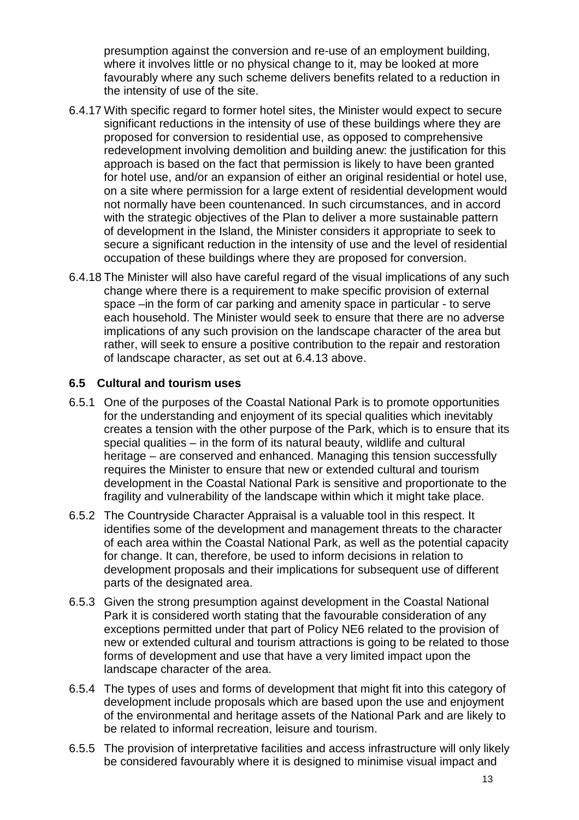presumption against the conversion and re-use of an employment building, where it involves little or no physical change to it, may be looked at more favourably where any such scheme delivers benefits related to a reduction in the intensity of use of the site.

- 6.4.17 With specific regard to former hotel sites, the Minister would expect to secure significant reductions in the intensity of use of these buildings where they are proposed for conversion to residential use, as opposed to comprehensive redevelopment involving demolition and building anew: the justification for this approach is based on the fact that permission is likely to have been granted for hotel use, and/or an expansion of either an original residential or hotel use, on a site where permission for a large extent of residential development would not normally have been countenanced. In such circumstances, and in accord with the strategic objectives of the Plan to deliver a more sustainable pattern of development in the Island, the Minister considers it appropriate to seek to secure a significant reduction in the intensity of use and the level of residential occupation of these buildings where they are proposed for conversion.
- 6.4.18 The Minister will also have careful regard of the visual implications of any such change where there is a requirement to make specific provision of external space –in the form of car parking and amenity space in particular - to serve each household. The Minister would seek to ensure that there are no adverse implications of any such provision on the landscape character of the area but rather, will seek to ensure a positive contribution to the repair and restoration of landscape character, as set out at 6.4.13 above.

### **6.5 Cultural and tourism uses**

- 6.5.1 One of the purposes of the Coastal National Park is to promote opportunities for the understanding and enjoyment of its special qualities which inevitably creates a tension with the other purpose of the Park, which is to ensure that its special qualities – in the form of its natural beauty, wildlife and cultural heritage – are conserved and enhanced. Managing this tension successfully requires the Minister to ensure that new or extended cultural and tourism development in the Coastal National Park is sensitive and proportionate to the fragility and vulnerability of the landscape within which it might take place.
- 6.5.2 The Countryside Character Appraisal is a valuable tool in this respect. It identifies some of the development and management threats to the character of each area within the Coastal National Park, as well as the potential capacity for change. It can, therefore, be used to inform decisions in relation to development proposals and their implications for subsequent use of different parts of the designated area.
- 6.5.3 Given the strong presumption against development in the Coastal National Park it is considered worth stating that the favourable consideration of any exceptions permitted under that part of Policy NE6 related to the provision of new or extended cultural and tourism attractions is going to be related to those forms of development and use that have a very limited impact upon the landscape character of the area.
- 6.5.4 The types of uses and forms of development that might fit into this category of development include proposals which are based upon the use and enjoyment of the environmental and heritage assets of the National Park and are likely to be related to informal recreation, leisure and tourism.
- 6.5.5 The provision of interpretative facilities and access infrastructure will only likely be considered favourably where it is designed to minimise visual impact and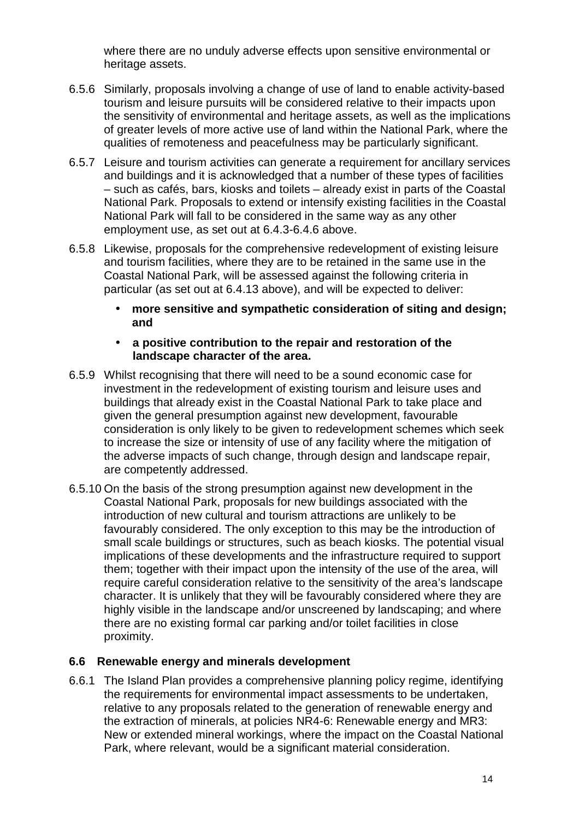where there are no unduly adverse effects upon sensitive environmental or heritage assets.

- 6.5.6 Similarly, proposals involving a change of use of land to enable activity-based tourism and leisure pursuits will be considered relative to their impacts upon the sensitivity of environmental and heritage assets, as well as the implications of greater levels of more active use of land within the National Park, where the qualities of remoteness and peacefulness may be particularly significant.
- 6.5.7 Leisure and tourism activities can generate a requirement for ancillary services and buildings and it is acknowledged that a number of these types of facilities – such as cafés, bars, kiosks and toilets – already exist in parts of the Coastal National Park. Proposals to extend or intensify existing facilities in the Coastal National Park will fall to be considered in the same way as any other employment use, as set out at 6.4.3-6.4.6 above.
- 6.5.8 Likewise, proposals for the comprehensive redevelopment of existing leisure and tourism facilities, where they are to be retained in the same use in the Coastal National Park, will be assessed against the following criteria in particular (as set out at 6.4.13 above), and will be expected to deliver:
	- **more sensitive and sympathetic consideration of siting and design; and**

### • **a positive contribution to the repair and restoration of the landscape character of the area.**

- 6.5.9 Whilst recognising that there will need to be a sound economic case for investment in the redevelopment of existing tourism and leisure uses and buildings that already exist in the Coastal National Park to take place and given the general presumption against new development, favourable consideration is only likely to be given to redevelopment schemes which seek to increase the size or intensity of use of any facility where the mitigation of the adverse impacts of such change, through design and landscape repair, are competently addressed.
- 6.5.10 On the basis of the strong presumption against new development in the Coastal National Park, proposals for new buildings associated with the introduction of new cultural and tourism attractions are unlikely to be favourably considered. The only exception to this may be the introduction of small scale buildings or structures, such as beach kiosks. The potential visual implications of these developments and the infrastructure required to support them; together with their impact upon the intensity of the use of the area, will require careful consideration relative to the sensitivity of the area's landscape character. It is unlikely that they will be favourably considered where they are highly visible in the landscape and/or unscreened by landscaping; and where there are no existing formal car parking and/or toilet facilities in close proximity.

### **6.6 Renewable energy and minerals development**

6.6.1 The Island Plan provides a comprehensive planning policy regime, identifying the requirements for environmental impact assessments to be undertaken, relative to any proposals related to the generation of renewable energy and the extraction of minerals, at policies NR4-6: Renewable energy and MR3: New or extended mineral workings, where the impact on the Coastal National Park, where relevant, would be a significant material consideration.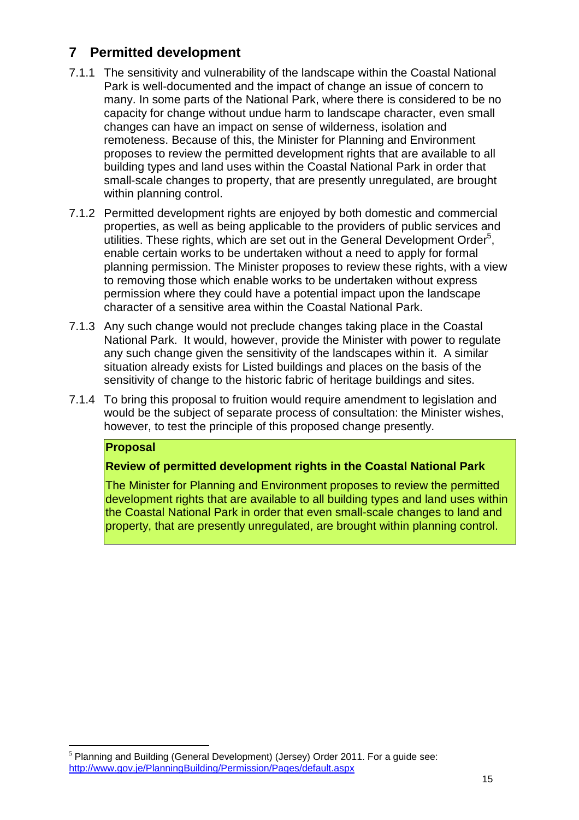### **7 Permitted development**

- 7.1.1 The sensitivity and vulnerability of the landscape within the Coastal National Park is well-documented and the impact of change an issue of concern to many. In some parts of the National Park, where there is considered to be no capacity for change without undue harm to landscape character, even small changes can have an impact on sense of wilderness, isolation and remoteness. Because of this, the Minister for Planning and Environment proposes to review the permitted development rights that are available to all building types and land uses within the Coastal National Park in order that small-scale changes to property, that are presently unregulated, are brought within planning control.
- 7.1.2 Permitted development rights are enjoyed by both domestic and commercial properties, as well as being applicable to the providers of public services and utilities. These rights, which are set out in the General Development Order<sup>5</sup>, enable certain works to be undertaken without a need to apply for formal planning permission. The Minister proposes to review these rights, with a view to removing those which enable works to be undertaken without express permission where they could have a potential impact upon the landscape character of a sensitive area within the Coastal National Park.
- 7.1.3 Any such change would not preclude changes taking place in the Coastal National Park. It would, however, provide the Minister with power to regulate any such change given the sensitivity of the landscapes within it. A similar situation already exists for Listed buildings and places on the basis of the sensitivity of change to the historic fabric of heritage buildings and sites.
- 7.1.4 To bring this proposal to fruition would require amendment to legislation and would be the subject of separate process of consultation: the Minister wishes, however, to test the principle of this proposed change presently.

### **Proposal**

 $\overline{a}$ 

### **Review of permitted development rights in the Coastal National Park**

The Minister for Planning and Environment proposes to review the permitted development rights that are available to all building types and land uses within the Coastal National Park in order that even small-scale changes to land and property, that are presently unregulated, are brought within planning control.

 $<sup>5</sup>$  Planning and Building (General Development) (Jersey) Order 2011. For a guide see:</sup> http://www.gov.je/PlanningBuilding/Permission/Pages/default.aspx